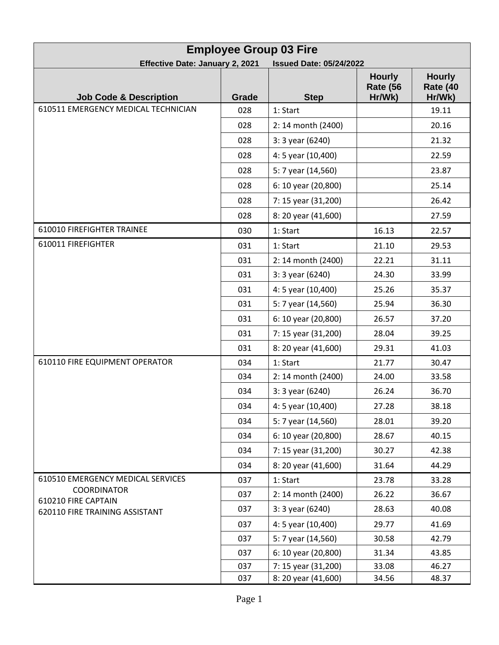| <b>Employee Group 03 Fire</b>                                            |       |                     |                                            |                                            |  |
|--------------------------------------------------------------------------|-------|---------------------|--------------------------------------------|--------------------------------------------|--|
| <b>Effective Date: January 2, 2021</b><br><b>Issued Date: 05/24/2022</b> |       |                     |                                            |                                            |  |
| <b>Job Code &amp; Description</b>                                        | Grade | <b>Step</b>         | <b>Hourly</b><br><b>Rate (56</b><br>Hr/Wk) | <b>Hourly</b><br><b>Rate (40</b><br>Hr/Wk) |  |
| 610511 EMERGENCY MEDICAL TECHNICIAN                                      | 028   | 1: Start            |                                            | 19.11                                      |  |
|                                                                          | 028   | 2: 14 month (2400)  |                                            | 20.16                                      |  |
|                                                                          | 028   | 3: 3 year (6240)    |                                            | 21.32                                      |  |
|                                                                          | 028   | 4: 5 year (10,400)  |                                            | 22.59                                      |  |
|                                                                          | 028   | 5: 7 year (14,560)  |                                            | 23.87                                      |  |
|                                                                          | 028   | 6: 10 year (20,800) |                                            | 25.14                                      |  |
|                                                                          | 028   | 7: 15 year (31,200) |                                            | 26.42                                      |  |
|                                                                          | 028   | 8: 20 year (41,600) |                                            | 27.59                                      |  |
| 610010 FIREFIGHTER TRAINEE                                               | 030   | 1: Start            | 16.13                                      | 22.57                                      |  |
| 610011 FIREFIGHTER                                                       | 031   | 1: Start            | 21.10                                      | 29.53                                      |  |
|                                                                          | 031   | 2: 14 month (2400)  | 22.21                                      | 31.11                                      |  |
|                                                                          | 031   | 3: 3 year (6240)    | 24.30                                      | 33.99                                      |  |
|                                                                          | 031   | 4: 5 year (10,400)  | 25.26                                      | 35.37                                      |  |
|                                                                          | 031   | 5: 7 year (14,560)  | 25.94                                      | 36.30                                      |  |
|                                                                          | 031   | 6: 10 year (20,800) | 26.57                                      | 37.20                                      |  |
|                                                                          | 031   | 7: 15 year (31,200) | 28.04                                      | 39.25                                      |  |
|                                                                          | 031   | 8: 20 year (41,600) | 29.31                                      | 41.03                                      |  |
| 610110 FIRE EQUIPMENT OPERATOR                                           | 034   | 1: Start            | 21.77                                      | 30.47                                      |  |
|                                                                          | 034   | 2: 14 month (2400)  | 24.00                                      | 33.58                                      |  |
|                                                                          | 034   | 3: 3 year (6240)    | 26.24                                      | 36.70                                      |  |
|                                                                          | 034   | 4: 5 year (10,400)  | 27.28                                      | 38.18                                      |  |
|                                                                          | 034   | 5: 7 year (14,560)  | 28.01                                      | 39.20                                      |  |
|                                                                          | 034   | 6: 10 year (20,800) | 28.67                                      | 40.15                                      |  |
|                                                                          | 034   | 7: 15 year (31,200) | 30.27                                      | 42.38                                      |  |
|                                                                          | 034   | 8: 20 year (41,600) | 31.64                                      | 44.29                                      |  |
| 610510 EMERGENCY MEDICAL SERVICES                                        | 037   | 1: Start            | 23.78                                      | 33.28                                      |  |
| <b>COORDINATOR</b><br>610210 FIRE CAPTAIN                                | 037   | 2: 14 month (2400)  | 26.22                                      | 36.67                                      |  |
| 620110 FIRE TRAINING ASSISTANT                                           | 037   | 3: 3 year (6240)    | 28.63                                      | 40.08                                      |  |
|                                                                          | 037   | 4: 5 year (10,400)  | 29.77                                      | 41.69                                      |  |
|                                                                          | 037   | 5: 7 year (14,560)  | 30.58                                      | 42.79                                      |  |
|                                                                          | 037   | 6: 10 year (20,800) | 31.34                                      | 43.85                                      |  |
|                                                                          | 037   | 7: 15 year (31,200) | 33.08                                      | 46.27                                      |  |
|                                                                          | 037   | 8: 20 year (41,600) | 34.56                                      | 48.37                                      |  |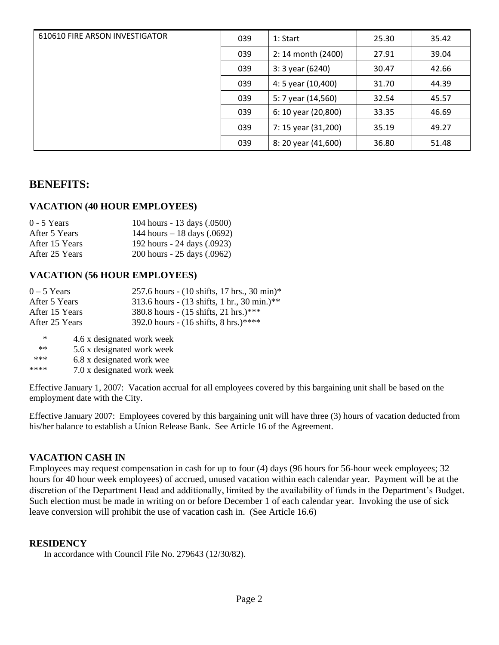| 610610 FIRE ARSON INVESTIGATOR | 039 | 1:Start             | 25.30 | 35.42 |
|--------------------------------|-----|---------------------|-------|-------|
|                                | 039 | 2: 14 month (2400)  | 27.91 | 39.04 |
|                                | 039 | $3:3$ year (6240)   | 30.47 | 42.66 |
|                                | 039 | 4: 5 year (10,400)  | 31.70 | 44.39 |
|                                | 039 | 5: 7 year (14,560)  | 32.54 | 45.57 |
|                                | 039 | 6: 10 year (20,800) | 33.35 | 46.69 |
|                                | 039 | 7: 15 year (31,200) | 35.19 | 49.27 |
|                                | 039 | 8: 20 year (41,600) | 36.80 | 51.48 |

# **BENEFITS:**

#### **VACATION (40 HOUR EMPLOYEES)**

| $0 - 5$ Years  | 104 hours - 13 days (.0500)  |
|----------------|------------------------------|
| After 5 Years  | 144 hours $-18$ days (.0692) |
| After 15 Years | 192 hours - 24 days (.0923)  |
| After 25 Years | 200 hours - 25 days (.0962)  |

#### **VACATION (56 HOUR EMPLOYEES)**

| $0-5$ Years    | 257.6 hours - $(10 \text{ shifts}, 17 \text{ hrs}, 30 \text{ min})$ * |
|----------------|-----------------------------------------------------------------------|
| After 5 Years  | 313.6 hours - $(13 \text{ shifts}, 1 \text{ hr}, 30 \text{ min.})$ ** |
| After 15 Years | 380.8 hours - $(15 \text{ shifts}, 21 \text{ hrs.})$ ***              |
| After 25 Years | 392.0 hours - $(16 \text{ shifts}, 8 \text{ hrs.})$ ****              |
|                |                                                                       |

\* 4.6 x designated work week

\*\* 5.6 x designated work week

\*\*\* 6.8 x designated work wee

\*\*\*\* 7.0 x designated work week

Effective January 1, 2007: Vacation accrual for all employees covered by this bargaining unit shall be based on the employment date with the City.

Effective January 2007: Employees covered by this bargaining unit will have three (3) hours of vacation deducted from his/her balance to establish a Union Release Bank. See Article 16 of the Agreement.

#### **VACATION CASH IN**

Employees may request compensation in cash for up to four (4) days (96 hours for 56-hour week employees; 32 hours for 40 hour week employees) of accrued, unused vacation within each calendar year. Payment will be at the discretion of the Department Head and additionally, limited by the availability of funds in the Department's Budget. Such election must be made in writing on or before December 1 of each calendar year. Invoking the use of sick leave conversion will prohibit the use of vacation cash in. (See Article 16.6)

#### **RESIDENCY**

In accordance with Council File No. 279643 (12/30/82).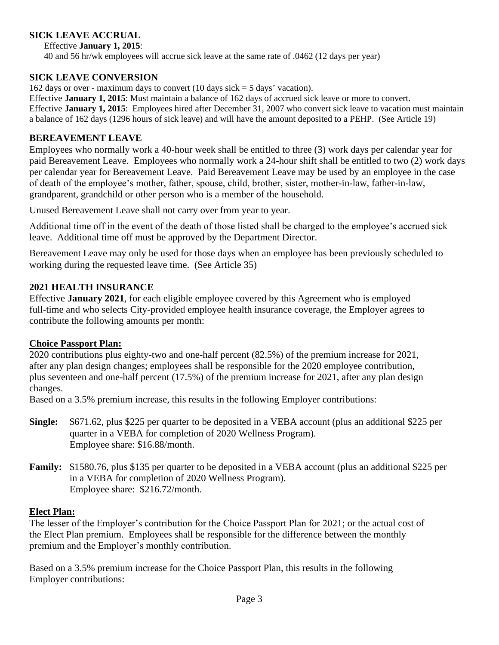### **SICK LEAVE ACCRUAL**

Effective **January 1, 2015**:

40 and 56 hr/wk employees will accrue sick leave at the same rate of .0462 (12 days per year)

#### **SICK LEAVE CONVERSION**

162 days or over - maximum days to convert (10 days sick  $=$  5 days' vacation).

Effective **January 1, 2015**: Must maintain a balance of 162 days of accrued sick leave or more to convert. Effective **January 1, 2015**: Employees hired after December 31, 2007 who convert sick leave to vacation must maintain a balance of 162 days (1296 hours of sick leave) and will have the amount deposited to a PEHP. (See Article 19)

#### **BEREAVEMENT LEAVE**

Employees who normally work a 40-hour week shall be entitled to three (3) work days per calendar year for paid Bereavement Leave. Employees who normally work a 24-hour shift shall be entitled to two (2) work days per calendar year for Bereavement Leave. Paid Bereavement Leave may be used by an employee in the case of death of the employee's mother, father, spouse, child, brother, sister, mother-in-law, father-in-law, grandparent, grandchild or other person who is a member of the household.

Unused Bereavement Leave shall not carry over from year to year.

Additional time off in the event of the death of those listed shall be charged to the employee's accrued sick leave. Additional time off must be approved by the Department Director.

Bereavement Leave may only be used for those days when an employee has been previously scheduled to working during the requested leave time. (See Article 35)

### **2021 HEALTH INSURANCE**

Effective **January 2021**, for each eligible employee covered by this Agreement who is employed full-time and who selects City-provided employee health insurance coverage, the Employer agrees to contribute the following amounts per month:

### **Choice Passport Plan:**

2020 contributions plus eighty-two and one-half percent (82.5%) of the premium increase for 2021, after any plan design changes; employees shall be responsible for the 2020 employee contribution, plus seventeen and one-half percent (17.5%) of the premium increase for 2021, after any plan design changes.

Based on a 3.5% premium increase, this results in the following Employer contributions:

- **Single:** \$671.62, plus \$225 per quarter to be deposited in a VEBA account (plus an additional \$225 per quarter in a VEBA for completion of 2020 Wellness Program). Employee share: \$16.88/month.
- **Family:** \$1580.76, plus \$135 per quarter to be deposited in a VEBA account (plus an additional \$225 per in a VEBA for completion of 2020 Wellness Program). Employee share: \$216.72/month.

#### **Elect Plan:**

The lesser of the Employer's contribution for the Choice Passport Plan for 2021; or the actual cost of the Elect Plan premium. Employees shall be responsible for the difference between the monthly premium and the Employer's monthly contribution.

Based on a 3.5% premium increase for the Choice Passport Plan, this results in the following Employer contributions: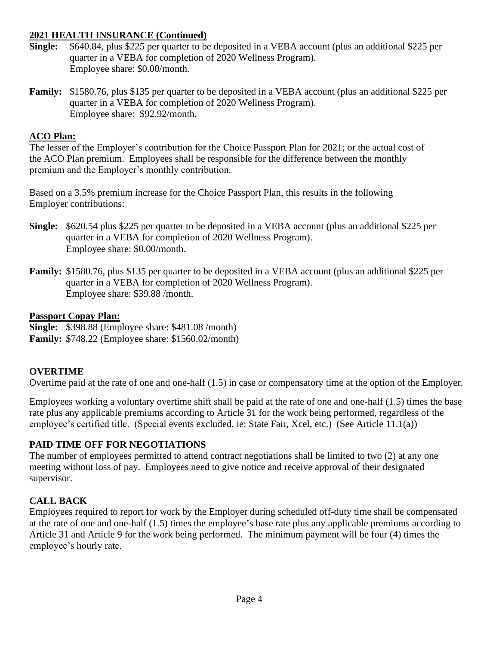### **2021 HEALTH INSURANCE (Continued)**

- **Single:** \$640.84, plus \$225 per quarter to be deposited in a VEBA account (plus an additional \$225 per quarter in a VEBA for completion of 2020 Wellness Program). Employee share: \$0.00/month.
- **Family:** \$1580.76, plus \$135 per quarter to be deposited in a VEBA account (plus an additional \$225 per quarter in a VEBA for completion of 2020 Wellness Program). Employee share: \$92.92/month.

## **ACO Plan:**

The lesser of the Employer's contribution for the Choice Passport Plan for 2021; or the actual cost of the ACO Plan premium. Employees shall be responsible for the difference between the monthly premium and the Employer's monthly contribution.

Based on a 3.5% premium increase for the Choice Passport Plan, this results in the following Employer contributions:

- **Single:** \$620.54 plus \$225 per quarter to be deposited in a VEBA account (plus an additional \$225 per quarter in a VEBA for completion of 2020 Wellness Program). Employee share: \$0.00/month.
- **Family:** \$1580.76, plus \$135 per quarter to be deposited in a VEBA account (plus an additional \$225 per quarter in a VEBA for completion of 2020 Wellness Program). Employee share: \$39.88 /month.

### **Passport Copay Plan:**

**Single:** \$398.88 (Employee share: \$481.08 /month)

**Family:** \$748.22 (Employee share: \$1560.02/month)

# **OVERTIME**

Overtime paid at the rate of one and one-half (1.5) in case or compensatory time at the option of the Employer.

Employees working a voluntary overtime shift shall be paid at the rate of one and one-half (1.5) times the base rate plus any applicable premiums according to Article 31 for the work being performed, regardless of the employee's certified title. (Special events excluded, ie: State Fair, Xcel, etc.) (See Article 11.1(a))

# **PAID TIME OFF FOR NEGOTIATIONS**

The number of employees permitted to attend contract negotiations shall be limited to two (2) at any one meeting without loss of pay. Employees need to give notice and receive approval of their designated supervisor.

# **CALL BACK**

Employees required to report for work by the Employer during scheduled off-duty time shall be compensated at the rate of one and one-half (1.5) times the employee's base rate plus any applicable premiums according to Article 31 and Article 9 for the work being performed. The minimum payment will be four (4) times the employee's hourly rate.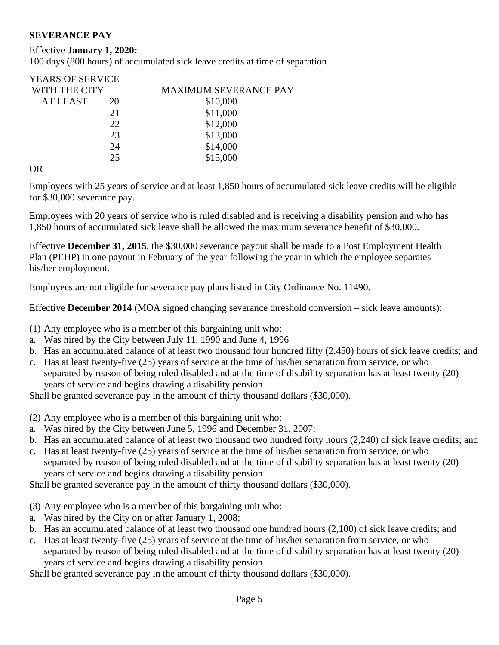### **SEVERANCE PAY**

### Effective **January 1, 2020:**

100 days (800 hours) of accumulated sick leave credits at time of separation.

| <b>YEARS OF SERVICE</b> |                              |
|-------------------------|------------------------------|
| WITH THE CITY           | <b>MAXIMUM SEVERANCE PAY</b> |
| 20                      | \$10,000                     |
| 21                      | \$11,000                     |
| 22.                     | \$12,000                     |
| 23                      | \$13,000                     |
| 24                      | \$14,000                     |
| 25                      | \$15,000                     |
|                         |                              |

OR

Employees with 25 years of service and at least 1,850 hours of accumulated sick leave credits will be eligible for \$30,000 severance pay.

Employees with 20 years of service who is ruled disabled and is receiving a disability pension and who has 1,850 hours of accumulated sick leave shall be allowed the maximum severance benefit of \$30,000.

Effective **December 31, 2015**, the \$30,000 severance payout shall be made to a Post Employment Health Plan (PEHP) in one payout in February of the year following the year in which the employee separates his/her employment.

Employees are not eligible for severance pay plans listed in City Ordinance No. 11490.

Effective **December 2014** (MOA signed changing severance threshold conversion – sick leave amounts):

(1) Any employee who is a member of this bargaining unit who:

- a. Was hired by the City between July 11, 1990 and June 4, 1996
- b. Has an accumulated balance of at least two thousand four hundred fifty (2,450) hours of sick leave credits; and
- c. Has at least twenty-five (25) years of service at the time of his/her separation from service, or who separated by reason of being ruled disabled and at the time of disability separation has at least twenty (20) years of service and begins drawing a disability pension

Shall be granted severance pay in the amount of thirty thousand dollars (\$30,000).

- (2) Any employee who is a member of this bargaining unit who:
- a. Was hired by the City between June 5, 1996 and December 31, 2007;
- b. Has an accumulated balance of at least two thousand two hundred forty hours (2,240) of sick leave credits; and
- c. Has at least twenty-five (25) years of service at the time of his/her separation from service, or who separated by reason of being ruled disabled and at the time of disability separation has at least twenty (20) years of service and begins drawing a disability pension

Shall be granted severance pay in the amount of thirty thousand dollars (\$30,000).

- (3) Any employee who is a member of this bargaining unit who:
- a. Was hired by the City on or after January 1, 2008;
- b. Has an accumulated balance of at least two thousand one hundred hours (2,100) of sick leave credits; and
- c. Has at least twenty-five (25) years of service at the time of his/her separation from service, or who separated by reason of being ruled disabled and at the time of disability separation has at least twenty (20) years of service and begins drawing a disability pension

Shall be granted severance pay in the amount of thirty thousand dollars (\$30,000).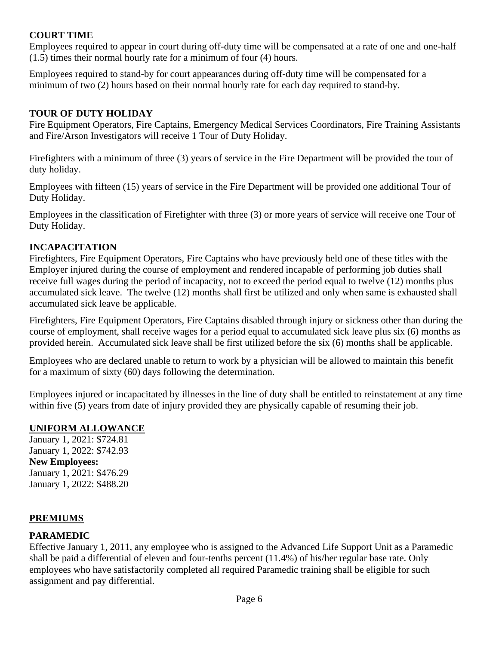### **COURT TIME**

Employees required to appear in court during off-duty time will be compensated at a rate of one and one-half (1.5) times their normal hourly rate for a minimum of four (4) hours.

Employees required to stand-by for court appearances during off-duty time will be compensated for a minimum of two (2) hours based on their normal hourly rate for each day required to stand-by.

## **TOUR OF DUTY HOLIDAY**

Fire Equipment Operators, Fire Captains, Emergency Medical Services Coordinators, Fire Training Assistants and Fire/Arson Investigators will receive 1 Tour of Duty Holiday.

Firefighters with a minimum of three (3) years of service in the Fire Department will be provided the tour of duty holiday.

Employees with fifteen (15) years of service in the Fire Department will be provided one additional Tour of Duty Holiday.

Employees in the classification of Firefighter with three (3) or more years of service will receive one Tour of Duty Holiday.

# **INCAPACITATION**

Firefighters, Fire Equipment Operators, Fire Captains who have previously held one of these titles with the Employer injured during the course of employment and rendered incapable of performing job duties shall receive full wages during the period of incapacity, not to exceed the period equal to twelve (12) months plus accumulated sick leave. The twelve (12) months shall first be utilized and only when same is exhausted shall accumulated sick leave be applicable.

Firefighters, Fire Equipment Operators, Fire Captains disabled through injury or sickness other than during the course of employment, shall receive wages for a period equal to accumulated sick leave plus six (6) months as provided herein. Accumulated sick leave shall be first utilized before the six (6) months shall be applicable.

Employees who are declared unable to return to work by a physician will be allowed to maintain this benefit for a maximum of sixty (60) days following the determination.

Employees injured or incapacitated by illnesses in the line of duty shall be entitled to reinstatement at any time within five (5) years from date of injury provided they are physically capable of resuming their job.

# **UNIFORM ALLOWANCE**

January 1, 2021: \$724.81 January 1, 2022: \$742.93 **New Employees:**  January 1, 2021: \$476.29 January 1, 2022: \$488.20

# **PREMIUMS**

# **PARAMEDIC**

Effective January 1, 2011, any employee who is assigned to the Advanced Life Support Unit as a Paramedic shall be paid a differential of eleven and four-tenths percent (11.4%) of his/her regular base rate. Only employees who have satisfactorily completed all required Paramedic training shall be eligible for such assignment and pay differential.